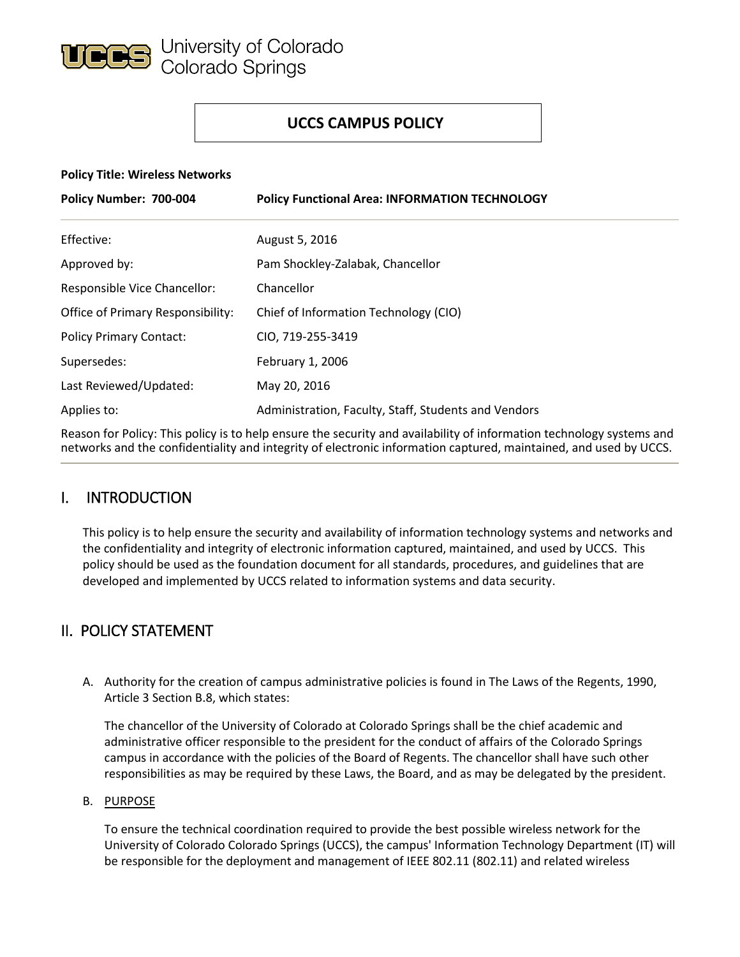

## **UCCS CAMPUS POLICY**

#### **Policy Title: Wireless Networks**

| Policy Number: 700-004            | <b>Policy Functional Area: INFORMATION TECHNOLOGY</b> |
|-----------------------------------|-------------------------------------------------------|
| Effective:                        | August 5, 2016                                        |
| Approved by:                      | Pam Shockley-Zalabak, Chancellor                      |
| Responsible Vice Chancellor:      | Chancellor                                            |
| Office of Primary Responsibility: | Chief of Information Technology (CIO)                 |
| <b>Policy Primary Contact:</b>    | CIO, 719-255-3419                                     |
| Supersedes:                       | February 1, 2006                                      |
| Last Reviewed/Updated:            | May 20, 2016                                          |
| Applies to:                       | Administration, Faculty, Staff, Students and Vendors  |

Reason for Policy: This policy is to help ensure the security and availability of information technology systems and networks and the confidentiality and integrity of electronic information captured, maintained, and used by UCCS.

## I. INTRODUCTION

This policy is to help ensure the security and availability of information technology systems and networks and the confidentiality and integrity of electronic information captured, maintained, and used by UCCS. This policy should be used as the foundation document for all standards, procedures, and guidelines that are developed and implemented by UCCS related to information systems and data security.

## II. POLICY STATEMENT

A. Authority for the creation of campus administrative policies is found in The Laws of the Regents, 1990, Article 3 Section B.8, which states:

The chancellor of the University of Colorado at Colorado Springs shall be the chief academic and administrative officer responsible to the president for the conduct of affairs of the Colorado Springs campus in accordance with the policies of the Board of Regents. The chancellor shall have such other responsibilities as may be required by these Laws, the Board, and as may be delegated by the president.

#### B. PURPOSE

To ensure the technical coordination required to provide the best possible wireless network for the University of Colorado Colorado Springs (UCCS), the campus' Information Technology Department (IT) will be responsible for the deployment and management of IEEE 802.11 (802.11) and related wireless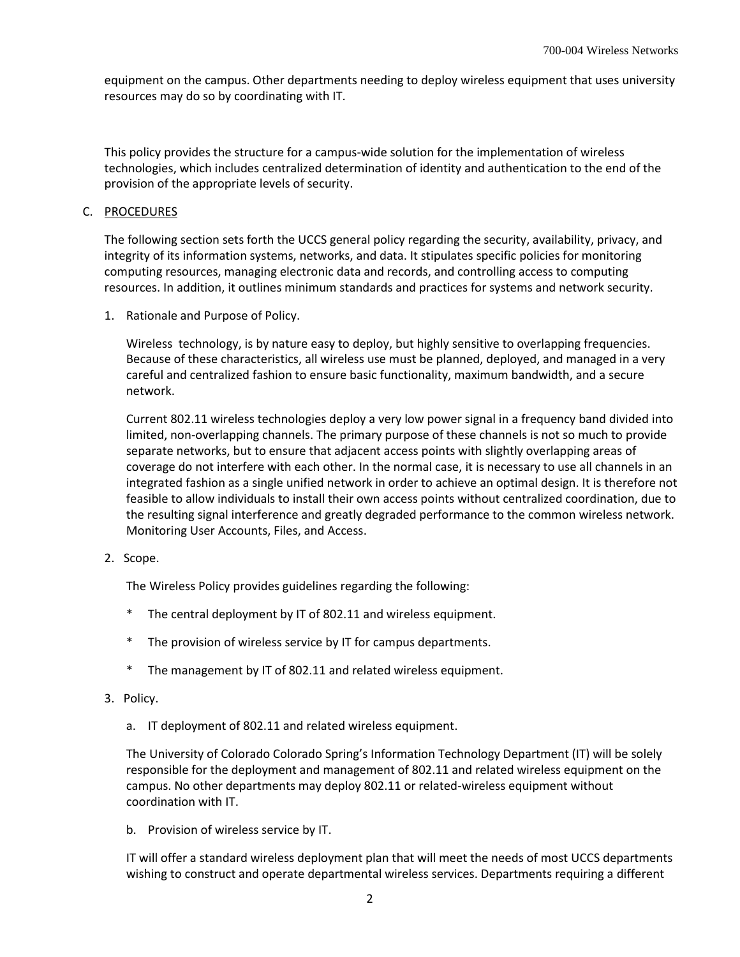equipment on the campus. Other departments needing to deploy wireless equipment that uses university resources may do so by coordinating with IT.

This policy provides the structure for a campus-wide solution for the implementation of wireless technologies, which includes centralized determination of identity and authentication to the end of the provision of the appropriate levels of security.

#### C. PROCEDURES

The following section sets forth the UCCS general policy regarding the security, availability, privacy, and integrity of its information systems, networks, and data. It stipulates specific policies for monitoring computing resources, managing electronic data and records, and controlling access to computing resources. In addition, it outlines minimum standards and practices for systems and network security.

1. Rationale and Purpose of Policy.

Wireless technology, is by nature easy to deploy, but highly sensitive to overlapping frequencies. Because of these characteristics, all wireless use must be planned, deployed, and managed in a very careful and centralized fashion to ensure basic functionality, maximum bandwidth, and a secure network.

Current 802.11 wireless technologies deploy a very low power signal in a frequency band divided into limited, non-overlapping channels. The primary purpose of these channels is not so much to provide separate networks, but to ensure that adjacent access points with slightly overlapping areas of coverage do not interfere with each other. In the normal case, it is necessary to use all channels in an integrated fashion as a single unified network in order to achieve an optimal design. It is therefore not feasible to allow individuals to install their own access points without centralized coordination, due to the resulting signal interference and greatly degraded performance to the common wireless network. Monitoring User Accounts, Files, and Access.

2. Scope.

The Wireless Policy provides guidelines regarding the following:

- \* The central deployment by IT of 802.11 and wireless equipment.
- \* The provision of wireless service by IT for campus departments.
- \* The management by IT of 802.11 and related wireless equipment.
- 3. Policy.
	- a. IT deployment of 802.11 and related wireless equipment.

The University of Colorado Colorado Spring's Information Technology Department (IT) will be solely responsible for the deployment and management of 802.11 and related wireless equipment on the campus. No other departments may deploy 802.11 or related-wireless equipment without coordination with IT.

b. Provision of wireless service by IT.

IT will offer a standard wireless deployment plan that will meet the needs of most UCCS departments wishing to construct and operate departmental wireless services. Departments requiring a different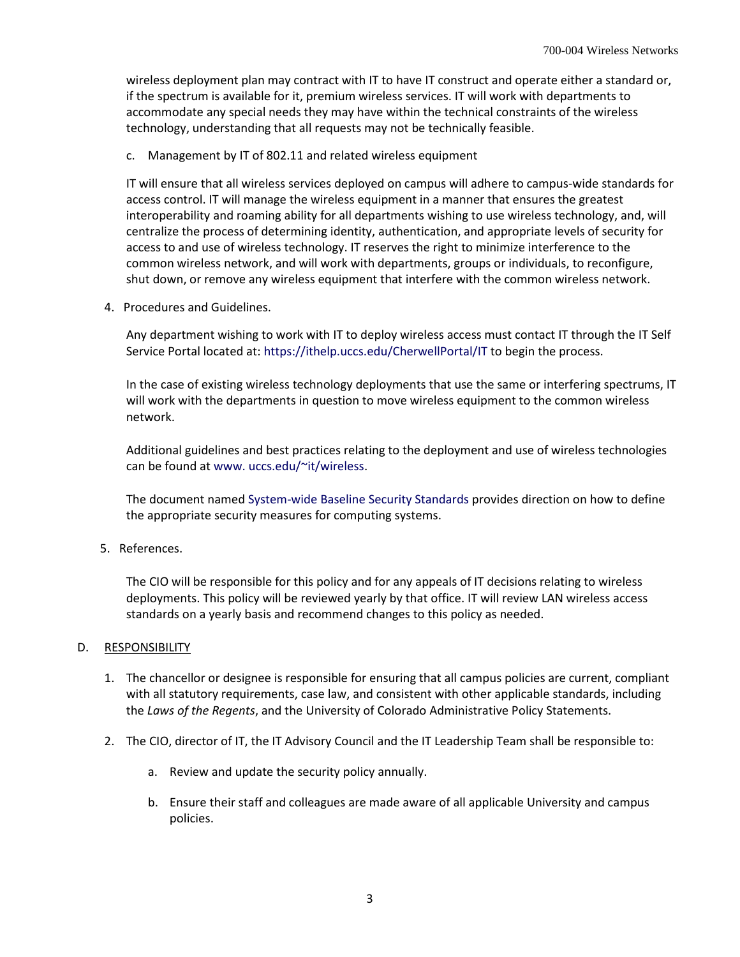wireless deployment plan may contract with IT to have IT construct and operate either a standard or, if the spectrum is available for it, premium wireless services. IT will work with departments to accommodate any special needs they may have within the technical constraints of the wireless technology, understanding that all requests may not be technically feasible.

c. Management by IT of 802.11 and related wireless equipment

IT will ensure that all wireless services deployed on campus will adhere to campus-wide standards for access control. IT will manage the wireless equipment in a manner that ensures the greatest interoperability and roaming ability for all departments wishing to use wireless technology, and, will centralize the process of determining identity, authentication, and appropriate levels of security for access to and use of wireless technology. IT reserves the right to minimize interference to the common wireless network, and will work with departments, groups or individuals, to reconfigure, shut down, or remove any wireless equipment that interfere with the common wireless network.

4. Procedures and Guidelines.

Any department wishing to work with IT to deploy wireless access must contact IT through the IT Self Service Portal located at:<https://ithelp.uccs.edu/CherwellPortal/IT> to begin the process.

In the case of existing wireless technology deployments that use the same or interfering spectrums, IT will work with the departments in question to move wireless equipment to the common wireless network.

Additional guidelines and best practices relating to the deployment and use of wireless technologies can be found a[t www. uccs.edu/~it/wireless.](http://www.uccs.edu/~it/wireless/)

The document named [System-wide Baseline Security Standards](http://www.cu.edu/sites/default/files/Baseline-Security-Standard.doc) provides direction on how to define the appropriate security measures for computing systems.

5. References.

The CIO will be responsible for this policy and for any appeals of IT decisions relating to wireless deployments. This policy will be reviewed yearly by that office. IT will review LAN wireless access standards on a yearly basis and recommend changes to this policy as needed.

#### D. RESPONSIBILITY

- 1. The chancellor or designee is responsible for ensuring that all campus policies are current, compliant with all statutory requirements, case law, and consistent with other applicable standards, including the *Laws of the Regents*, and the University of Colorado Administrative Policy Statements.
- 2. The CIO, director of IT, the IT Advisory Council and the IT Leadership Team shall be responsible to:
	- a. Review and update the security policy annually.
	- b. Ensure their staff and colleagues are made aware of all applicable University and campus policies.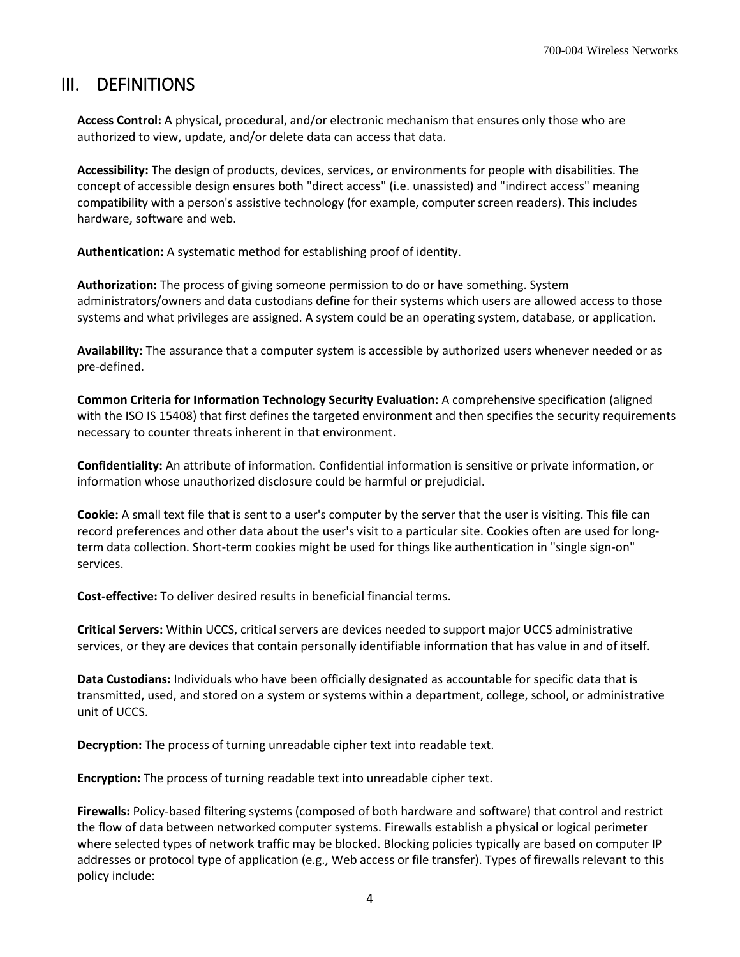## III. DEFINITIONS

**Access Control:** A physical, procedural, and/or electronic mechanism that ensures only those who are authorized to view, update, and/or delete data can access that data.

**Accessibility:** The design of products, devices, services, or environments for people with disabilities. The concept of accessible design ensures both "direct access" (i.e. unassisted) and "indirect access" meaning compatibility with a person's assistive technology (for example, computer screen readers). This includes hardware, software and web.

**Authentication:** A systematic method for establishing proof of identity.

**Authorization:** The process of giving someone permission to do or have something. System administrators/owners and data custodians define for their systems which users are allowed access to those systems and what privileges are assigned. A system could be an operating system, database, or application.

**Availability:** The assurance that a computer system is accessible by authorized users whenever needed or as pre-defined.

**Common Criteria for Information Technology Security Evaluation:** A comprehensive specification (aligned with the ISO IS 15408) that first defines the targeted environment and then specifies the security requirements necessary to counter threats inherent in that environment.

**Confidentiality:** An attribute of information. Confidential information is sensitive or private information, or information whose unauthorized disclosure could be harmful or prejudicial.

**Cookie:** A small text file that is sent to a user's computer by the server that the user is visiting. This file can record preferences and other data about the user's visit to a particular site. Cookies often are used for longterm data collection. Short-term cookies might be used for things like authentication in "single sign-on" services.

**Cost-effective:** To deliver desired results in beneficial financial terms.

**Critical Servers:** Within UCCS, critical servers are devices needed to support major UCCS administrative services, or they are devices that contain personally identifiable information that has value in and of itself.

**Data Custodians:** Individuals who have been officially designated as accountable for specific data that is transmitted, used, and stored on a system or systems within a department, college, school, or administrative unit of UCCS.

**Decryption:** The process of turning unreadable cipher text into readable text.

**Encryption:** The process of turning readable text into unreadable cipher text.

**Firewalls:** Policy-based filtering systems (composed of both hardware and software) that control and restrict the flow of data between networked computer systems. Firewalls establish a physical or logical perimeter where selected types of network traffic may be blocked. Blocking policies typically are based on computer IP addresses or protocol type of application (e.g., Web access or file transfer). Types of firewalls relevant to this policy include: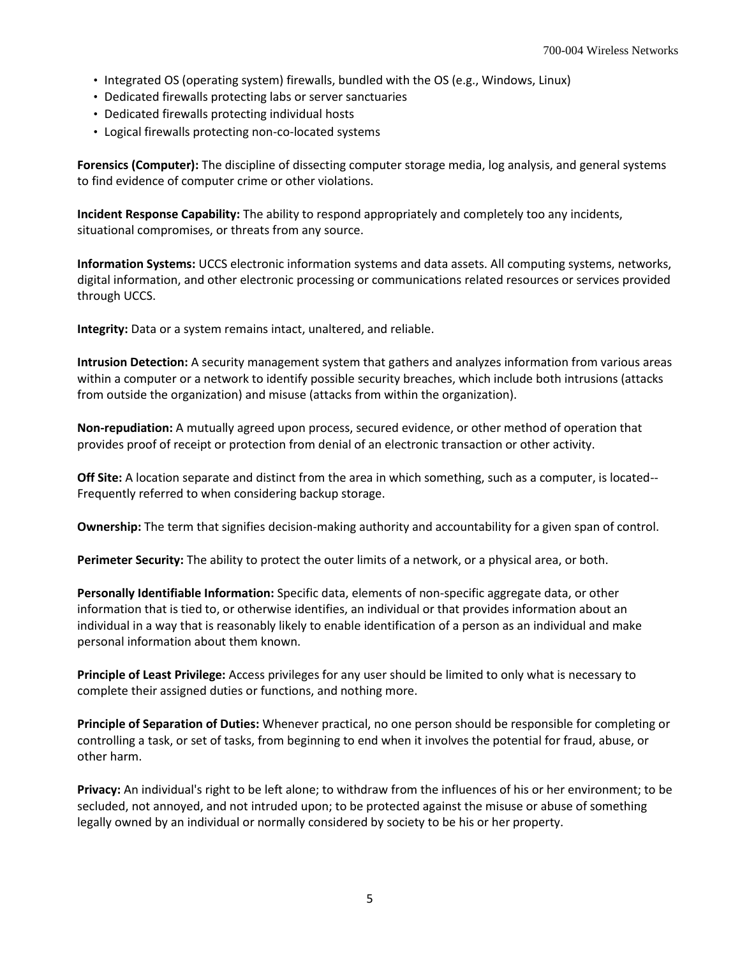- Integrated OS (operating system) firewalls, bundled with the OS (e.g., Windows, Linux)
- Dedicated firewalls protecting labs or server sanctuaries
- Dedicated firewalls protecting individual hosts
- Logical firewalls protecting non-co-located systems

**Forensics (Computer):** The discipline of dissecting computer storage media, log analysis, and general systems to find evidence of computer crime or other violations.

**Incident Response Capability:** The ability to respond appropriately and completely too any incidents, situational compromises, or threats from any source.

**Information Systems:** UCCS electronic information systems and data assets. All computing systems, networks, digital information, and other electronic processing or communications related resources or services provided through UCCS.

**Integrity:** Data or a system remains intact, unaltered, and reliable.

**Intrusion Detection:** A security management system that gathers and analyzes information from various areas within a computer or a network to identify possible security breaches, which include both intrusions (attacks from outside the organization) and misuse (attacks from within the organization).

**Non-repudiation:** A mutually agreed upon process, secured evidence, or other method of operation that provides proof of receipt or protection from denial of an electronic transaction or other activity.

**Off Site:** A location separate and distinct from the area in which something, such as a computer, is located-- Frequently referred to when considering backup storage.

**Ownership:** The term that signifies decision-making authority and accountability for a given span of control.

**Perimeter Security:** The ability to protect the outer limits of a network, or a physical area, or both.

**Personally Identifiable Information:** Specific data, elements of non-specific aggregate data, or other information that is tied to, or otherwise identifies, an individual or that provides information about an individual in a way that is reasonably likely to enable identification of a person as an individual and make personal information about them known.

**Principle of Least Privilege:** Access privileges for any user should be limited to only what is necessary to complete their assigned duties or functions, and nothing more.

**Principle of Separation of Duties:** Whenever practical, no one person should be responsible for completing or controlling a task, or set of tasks, from beginning to end when it involves the potential for fraud, abuse, or other harm.

**Privacy:** An individual's right to be left alone; to withdraw from the influences of his or her environment; to be secluded, not annoyed, and not intruded upon; to be protected against the misuse or abuse of something legally owned by an individual or normally considered by society to be his or her property.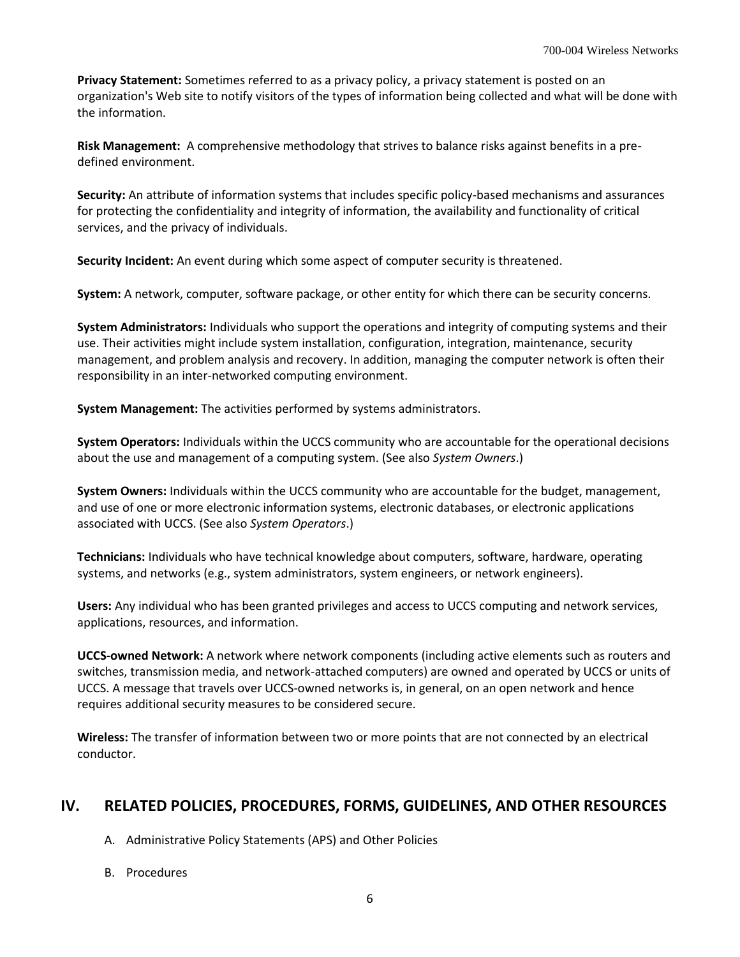**Privacy Statement:** Sometimes referred to as a privacy policy, a privacy statement is posted on an organization's Web site to notify visitors of the types of information being collected and what will be done with the information.

**Risk Management:** A comprehensive methodology that strives to balance risks against benefits in a predefined environment.

**Security:** An attribute of information systems that includes specific policy-based mechanisms and assurances for protecting the confidentiality and integrity of information, the availability and functionality of critical services, and the privacy of individuals.

**Security Incident:** An event during which some aspect of computer security is threatened.

**System:** A network, computer, software package, or other entity for which there can be security concerns.

**System Administrators:** Individuals who support the operations and integrity of computing systems and their use. Their activities might include system installation, configuration, integration, maintenance, security management, and problem analysis and recovery. In addition, managing the computer network is often their responsibility in an inter-networked computing environment.

**System Management:** The activities performed by systems administrators.

**System Operators:** Individuals within the UCCS community who are accountable for the operational decisions about the use and management of a computing system. (See also *System Owners*.)

**System Owners:** Individuals within the UCCS community who are accountable for the budget, management, and use of one or more electronic information systems, electronic databases, or electronic applications associated with UCCS. (See also *System Operators*.)

**Technicians:** Individuals who have technical knowledge about computers, software, hardware, operating systems, and networks (e.g., system administrators, system engineers, or network engineers).

**Users:** Any individual who has been granted privileges and access to UCCS computing and network services, applications, resources, and information.

**UCCS-owned Network:** A network where network components (including active elements such as routers and switches, transmission media, and network-attached computers) are owned and operated by UCCS or units of UCCS. A message that travels over UCCS-owned networks is, in general, on an open network and hence requires additional security measures to be considered secure.

**Wireless:** The transfer of information between two or more points that are not connected by an electrical conductor.

## **IV. RELATED POLICIES, PROCEDURES, FORMS, GUIDELINES, AND OTHER RESOURCES**

A. Administrative Policy Statements (APS) and Other Policies

B. Procedures